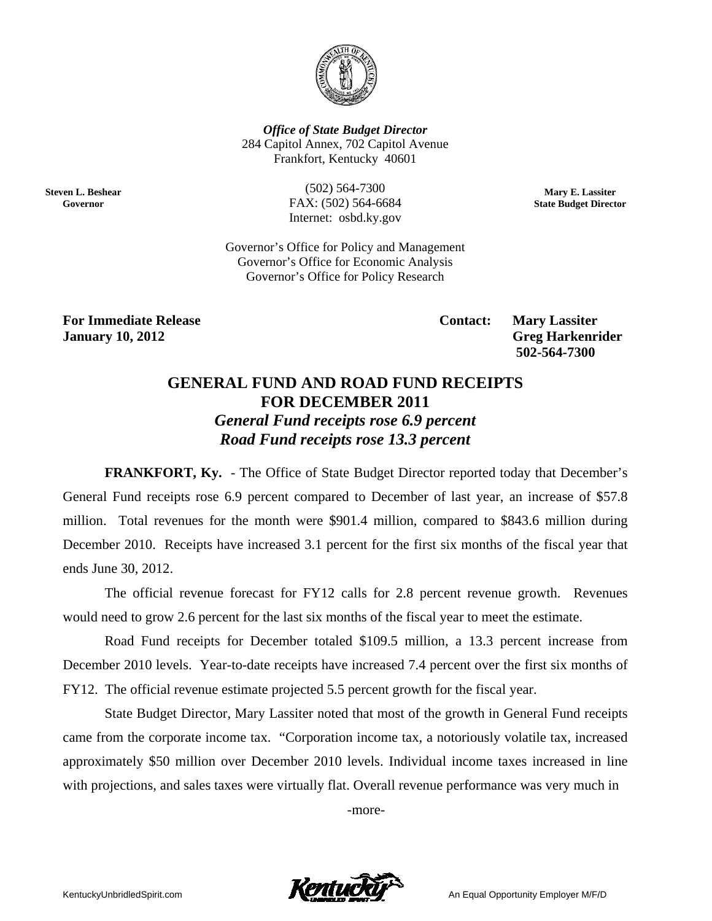

**Office of State Budget Director** 284 Capitol Annex, 702 Capitol Avenue Frankfort, Kentucky 40601

**Steven L. Beshear** Governor

 $(502) 564 - 7300$ FAX: (502) 564-6684 Internet: osbd.ky.gov

Mary E. Lassiter **State Budget Director** 

Governor's Office for Policy and Management Governor's Office for Economic Analysis Governor's Office for Policy Research

**For Immediate Release January 10, 2012** 

**Contact: Mary Lassiter Greg Harkenrider** 502-564-7300

## **GENERAL FUND AND ROAD FUND RECEIPTS FOR DECEMBER 2011 General Fund receipts rose 6.9 percent** Road Fund receipts rose 13.3 percent

**FRANKFORT, Ky.** - The Office of State Budget Director reported today that December's General Fund receipts rose 6.9 percent compared to December of last year, an increase of \$57.8 million. Total revenues for the month were \$901.4 million, compared to \$843.6 million during December 2010. Receipts have increased 3.1 percent for the first six months of the fiscal year that ends June 30, 2012.

The official revenue forecast for FY12 calls for 2.8 percent revenue growth. Revenues would need to grow 2.6 percent for the last six months of the fiscal year to meet the estimate.

Road Fund receipts for December totaled \$109.5 million, a 13.3 percent increase from December 2010 levels. Year-to-date receipts have increased 7.4 percent over the first six months of FY12. The official revenue estimate projected 5.5 percent growth for the fiscal year.

State Budget Director, Mary Lassiter noted that most of the growth in General Fund receipts came from the corporate income tax. "Corporation income tax, a notoriously volatile tax, increased approximately \$50 million over December 2010 levels. Individual income taxes increased in line with projections, and sales taxes were virtually flat. Overall revenue performance was very much in

-more-

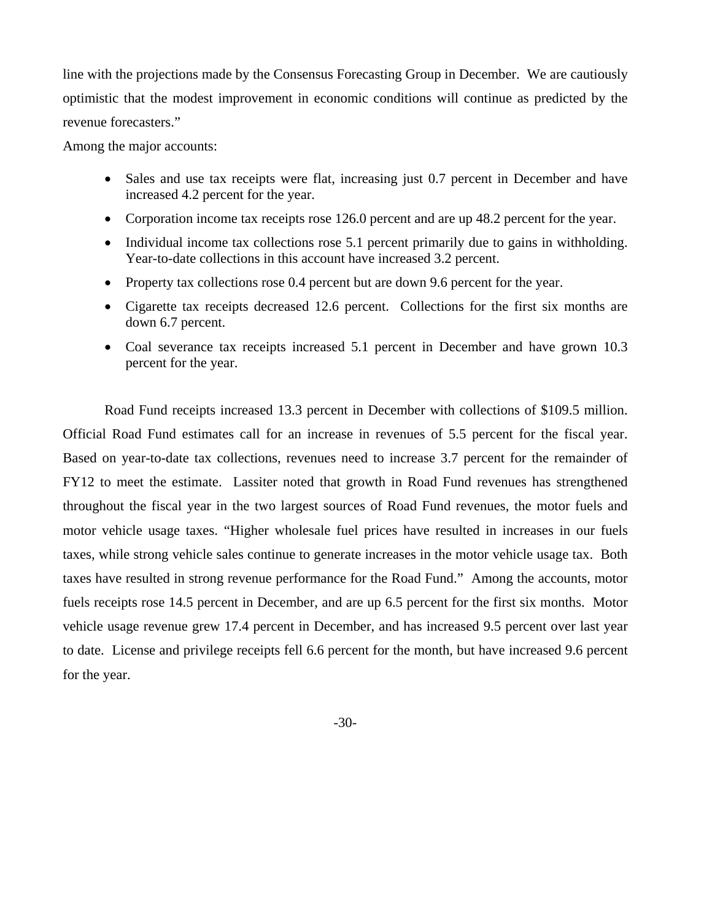line with the projections made by the Consensus Forecasting Group in December. We are cautiously optimistic that the modest improvement in economic conditions will continue as predicted by the revenue forecasters."

Among the major accounts:

- Sales and use tax receipts were flat, increasing just 0.7 percent in December and have increased 4.2 percent for the year.
- Corporation income tax receipts rose 126.0 percent and are up 48.2 percent for the year.
- Individual income tax collections rose 5.1 percent primarily due to gains in withholding. Year-to-date collections in this account have increased 3.2 percent.
- Property tax collections rose 0.4 percent but are down 9.6 percent for the year.
- Cigarette tax receipts decreased 12.6 percent. Collections for the first six months are down 6.7 percent.
- Coal severance tax receipts increased 5.1 percent in December and have grown 10.3 percent for the year.

 Road Fund receipts increased 13.3 percent in December with collections of \$109.5 million. Official Road Fund estimates call for an increase in revenues of 5.5 percent for the fiscal year. Based on year-to-date tax collections, revenues need to increase 3.7 percent for the remainder of FY12 to meet the estimate. Lassiter noted that growth in Road Fund revenues has strengthened throughout the fiscal year in the two largest sources of Road Fund revenues, the motor fuels and motor vehicle usage taxes. "Higher wholesale fuel prices have resulted in increases in our fuels taxes, while strong vehicle sales continue to generate increases in the motor vehicle usage tax. Both taxes have resulted in strong revenue performance for the Road Fund." Among the accounts, motor fuels receipts rose 14.5 percent in December, and are up 6.5 percent for the first six months. Motor vehicle usage revenue grew 17.4 percent in December, and has increased 9.5 percent over last year to date. License and privilege receipts fell 6.6 percent for the month, but have increased 9.6 percent for the year.

-30-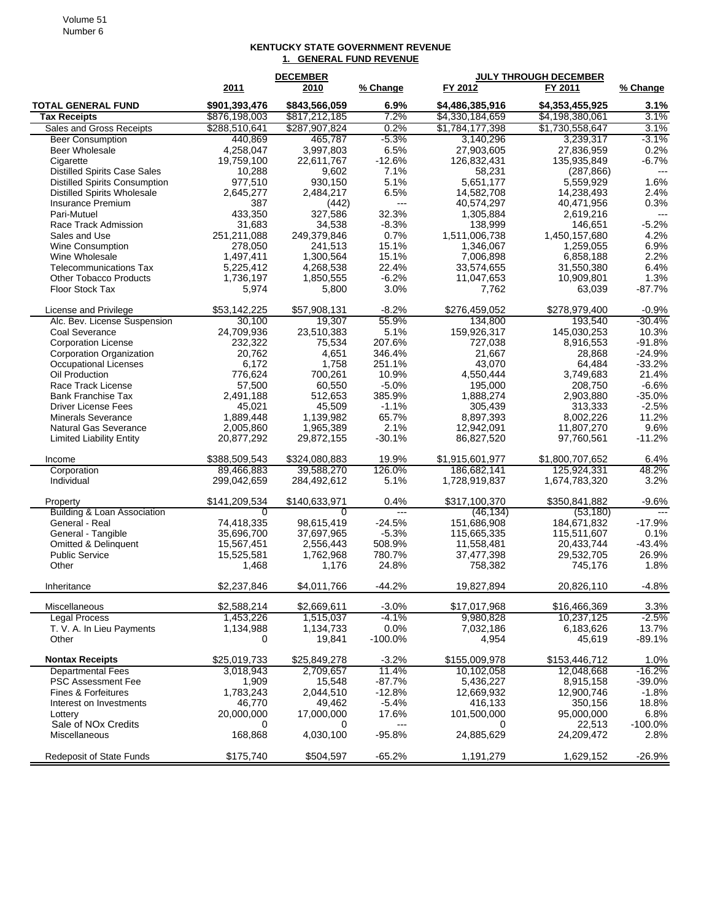## **KENTUCKY STATE GOVERNMENT REVENUE 1. GENERAL FUND REVENUE**

|                                                         |                      | <b>DECEMBER</b>     |                           | <b>JULY THROUGH DECEMBER</b> |                           |                      |
|---------------------------------------------------------|----------------------|---------------------|---------------------------|------------------------------|---------------------------|----------------------|
|                                                         | 2011                 | 2010                | % Change                  | FY 2012                      | FY 2011                   | % Change             |
| <b>TOTAL GENERAL FUND</b>                               | \$901,393,476        | \$843,566,059       | 6.9%                      | \$4,486,385,916              | \$4,353,455,925           | 3.1%                 |
| <b>Tax Receipts</b>                                     | \$876,198,003        | \$817,212,185       | 7.2%                      | \$4,330,184,659              | \$4,198,380,061           | 3.1%                 |
| Sales and Gross Receipts                                | \$288,510,641        | \$287,907,824       | 0.2%                      | \$1,784,177,398              | \$1,730,558,647           | 3.1%                 |
| <b>Beer Consumption</b>                                 | 440,869              | 465.787             | $-5.3%$                   | 3.140.296                    | 3,239,317                 | $-3.1%$              |
| Beer Wholesale                                          | 4.258.047            | 3,997,803           | 6.5%                      | 27,903,605<br>126,832,431    | 27,836,959                | 0.2%<br>$-6.7%$      |
| Cigarette<br><b>Distilled Spirits Case Sales</b>        | 19,759,100<br>10,288 | 22,611,767<br>9,602 | $-12.6%$<br>7.1%          | 58,231                       | 135,935,849<br>(287, 866) | $\overline{a}$       |
| <b>Distilled Spirits Consumption</b>                    | 977,510              | 930,150             | 5.1%                      | 5,651,177                    | 5,559,929                 | 1.6%                 |
| <b>Distilled Spirits Wholesale</b>                      | 2,645,277            | 2,484,217           | 6.5%                      | 14,582,708                   | 14,238,493                | 2.4%                 |
| Insurance Premium                                       | 387                  | (442)               | $\qquad \qquad -\qquad -$ | 40,574,297                   | 40,471,956                | 0.3%                 |
| Pari-Mutuel                                             | 433,350              | 327,586             | 32.3%                     | 1,305,884                    | 2,619,216                 | $---$                |
| Race Track Admission                                    | 31,683               | 34,538              | $-8.3%$                   | 138,999                      | 146,651                   | $-5.2%$              |
| Sales and Use                                           | 251,211,088          | 249,379,846         | 0.7%                      | 1,511,006,738                | 1,450,157,680             | 4.2%                 |
| Wine Consumption                                        | 278,050              | 241,513             | 15.1%                     | 1,346,067                    | 1,259,055                 | 6.9%                 |
| Wine Wholesale                                          | 1,497,411            | 1,300,564           | 15.1%                     | 7,006,898                    | 6,858,188                 | 2.2%                 |
| <b>Telecommunications Tax</b>                           | 5,225,412            | 4,268,538           | 22.4%                     | 33,574,655                   | 31,550,380                | 6.4%                 |
| <b>Other Tobacco Products</b>                           | 1,736,197            | 1,850,555           | $-6.2%$                   | 11,047,653                   | 10,909,801                | 1.3%                 |
| Floor Stock Tax                                         | 5,974                | 5,800               | 3.0%                      | 7,762                        | 63,039                    | $-87.7%$             |
| License and Privilege                                   | \$53,142,225         | \$57,908,131        | $-8.2%$                   | \$276,459,052                | \$278,979,400             | $-0.9%$              |
| Alc. Bev. License Suspension                            | 30,100               | 19,307              | 55.9%                     | 134.800                      | 193.540                   | $-30.4%$             |
| Coal Severance                                          | 24,709,936           | 23,510,383          | 5.1%                      | 159,926,317                  | 145,030,253               | 10.3%                |
| <b>Corporation License</b>                              | 232,322              | 75,534              | 207.6%                    | 727,038                      | 8,916,553                 | $-91.8%$             |
| Corporation Organization                                | 20,762               | 4,651               | 346.4%                    | 21,667                       | 28,868                    | $-24.9%$             |
| <b>Occupational Licenses</b>                            | 6,172                | 1,758               | 251.1%                    | 43,070                       | 64,484                    | $-33.2%$             |
| Oil Production                                          | 776,624              | 700,261             | 10.9%                     | 4,550,444                    | 3,749,683                 | 21.4%                |
| Race Track License                                      | 57,500               | 60,550              | $-5.0%$<br>385.9%         | 195,000                      | 208,750                   | $-6.6%$              |
| <b>Bank Franchise Tax</b><br><b>Driver License Fees</b> | 2,491,188            | 512,653             | $-1.1%$                   | 1,888,274                    | 2,903,880                 | $-35.0%$             |
| <b>Minerals Severance</b>                               | 45,021<br>1,889,448  | 45,509<br>1,139,982 | 65.7%                     | 305,439<br>8,897,393         | 313,333<br>8,002,226      | $-2.5%$<br>11.2%     |
| <b>Natural Gas Severance</b>                            | 2,005,860            | 1,965,389           | 2.1%                      | 12,942,091                   | 11,807,270                | 9.6%                 |
| <b>Limited Liability Entity</b>                         | 20,877,292           | 29,872,155          | $-30.1%$                  | 86,827,520                   | 97,760,561                | $-11.2%$             |
| Income                                                  | \$388,509,543        | \$324,080,883       | 19.9%                     | \$1,915,601,977              | \$1,800,707,652           | 6.4%                 |
| Corporation                                             | 89,466,883           | 39,588,270          | 126.0%                    | 186,682,141                  | 125,924,331               | 48.2%                |
| Individual                                              | 299,042,659          | 284,492,612         | 5.1%                      | 1,728,919,837                | 1,674,783,320             | 3.2%                 |
| Property                                                | \$141,209,534        | \$140,633,971       | 0.4%                      | \$317,100,370                | \$350,841,882             | $-9.6%$              |
| <b>Building &amp; Loan Association</b>                  | $\overline{0}$       | $\overline{0}$      | $\overline{a}$            | (46,134)                     | (53, 180)                 | $\overline{a}$       |
| General - Real                                          | 74,418,335           | 98,615,419          | $-24.5%$                  | 151,686,908                  | 184,671,832               | $-17.9%$             |
| General - Tangible                                      | 35,696,700           | 37,697,965          | $-5.3%$                   | 115,665,335                  | 115,511,607               | 0.1%                 |
| <b>Omitted &amp; Delinquent</b>                         | 15,567,451           | 2,556,443           | 508.9%<br>780.7%          | 11,558,481                   | 20,433,744                | $-43.4%$             |
| <b>Public Service</b>                                   | 15,525,581           | 1,762,968           | 24.8%                     | 37,477,398                   | 29,532,705                | 26.9%<br>1.8%        |
| Other                                                   | 1,468                | 1,176               |                           | 758,382                      | 745,176                   |                      |
| Inheritance                                             | \$2,237,846          | \$4,011,766         | $-44.2%$                  | 19,827,894                   | 20,826,110                | $-4.8%$              |
| Miscellaneous                                           | \$2,588,214          | \$2,669,611         | $-3.0%$                   | \$17,017,968                 | \$16,466,369              | 3.3%                 |
| <b>Legal Process</b>                                    | 1,453,226            | 1,515,037           | $-4.1%$                   | 9,980,828                    | 10,237,125                | $-2.5%$              |
| T. V. A. In Lieu Payments                               | 1,134,988            | 1,134,733           | 0.0%                      | 7,032,186                    | 6,183,626                 | 13.7%                |
| Other                                                   | 0                    | 19,841              | $-100.0%$                 | 4,954                        | 45,619                    | $-89.1%$             |
| <b>Nontax Receipts</b>                                  | \$25,019,733         | \$25,849,278        | $-3.2%$                   | \$155,009,978                | \$153,446,712             | 1.0%                 |
| <b>Departmental Fees</b><br><b>PSC Assessment Fee</b>   | 3,018,943<br>1,909   | 2,709,657<br>15,548 | 11.4%<br>$-87.7%$         | 10,102,058<br>5,436,227      | 12,048,668<br>8,915,158   | $-16.2%$<br>$-39.0%$ |
| Fines & Forfeitures                                     | 1,783,243            | 2,044,510           | $-12.8%$                  | 12,669,932                   | 12,900,746                | $-1.8%$              |
| Interest on Investments                                 | 46,770               | 49,462              | $-5.4%$                   | 416,133                      | 350,156                   | 18.8%                |
| Lottery                                                 | 20,000,000           | 17,000,000          | 17.6%                     | 101,500,000                  | 95,000,000                | 6.8%                 |
| Sale of NO <sub>x</sub> Credits                         | 0                    | 0                   | ---                       | 0                            | 22,513                    | $-100.0\%$           |
| Miscellaneous                                           | 168,868              | 4,030,100           | $-95.8%$                  | 24,885,629                   | 24,209,472                | 2.8%                 |
|                                                         |                      |                     |                           |                              |                           |                      |
| <b>Redeposit of State Funds</b>                         | \$175,740            | \$504,597           | $-65.2%$                  | 1,191,279                    | 1,629,152                 | $-26.9%$             |